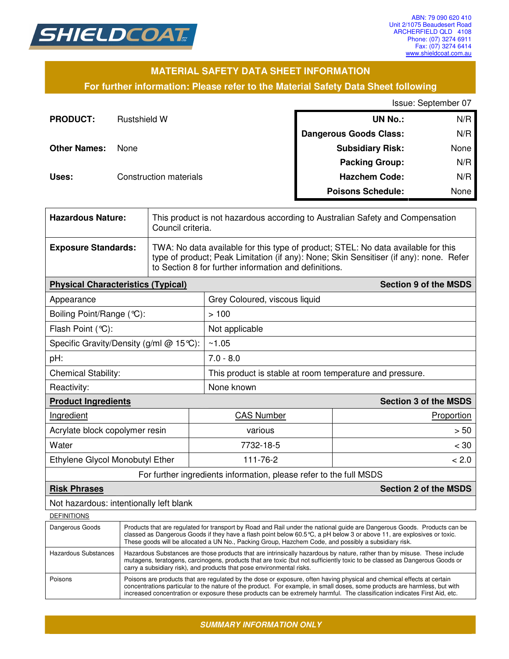

### **MATERIAL SAFETY DATA SHEET INFORMATION**

### **For further information: Please refer to the Material Safety Data Sheet following**

Issue: September 07

| <b>PRODUCT:</b>     | <b>Rustshield W</b>           | <b>UN No.:</b>                | N/R  |
|---------------------|-------------------------------|-------------------------------|------|
|                     |                               | <b>Dangerous Goods Class:</b> | N/R  |
| <b>Other Names:</b> | None                          | <b>Subsidiary Risk:</b>       | None |
|                     |                               | <b>Packing Group:</b>         | N/R  |
| Uses:               | <b>Construction materials</b> | <b>Hazchem Code:</b>          | N/R  |
|                     |                               | <b>Poisons Schedule:</b>      | None |

| <b>Hazardous Nature:</b>                            |                                                                                                                                                                                                                                                                                                                                                           | This product is not hazardous according to Australian Safety and Compensation<br>Council criteria.                                                                                                                                   |                               |                              |  |  |
|-----------------------------------------------------|-----------------------------------------------------------------------------------------------------------------------------------------------------------------------------------------------------------------------------------------------------------------------------------------------------------------------------------------------------------|--------------------------------------------------------------------------------------------------------------------------------------------------------------------------------------------------------------------------------------|-------------------------------|------------------------------|--|--|
| <b>Exposure Standards:</b>                          |                                                                                                                                                                                                                                                                                                                                                           | TWA: No data available for this type of product; STEL: No data available for this<br>type of product; Peak Limitation (if any): None; Skin Sensitiser (if any): none. Refer<br>to Section 8 for further information and definitions. |                               |                              |  |  |
| <b>Physical Characteristics (Typical)</b>           |                                                                                                                                                                                                                                                                                                                                                           |                                                                                                                                                                                                                                      |                               | <b>Section 9 of the MSDS</b> |  |  |
| Appearance                                          |                                                                                                                                                                                                                                                                                                                                                           |                                                                                                                                                                                                                                      | Grey Coloured, viscous liquid |                              |  |  |
| Boiling Point/Range (°C):                           |                                                                                                                                                                                                                                                                                                                                                           |                                                                                                                                                                                                                                      | >100                          |                              |  |  |
| Flash Point (°C):                                   |                                                                                                                                                                                                                                                                                                                                                           |                                                                                                                                                                                                                                      | Not applicable                |                              |  |  |
| Specific Gravity/Density (g/ml @ 15°C):             |                                                                                                                                                                                                                                                                                                                                                           |                                                                                                                                                                                                                                      | ~1.05                         |                              |  |  |
| pH:                                                 |                                                                                                                                                                                                                                                                                                                                                           | $7.0 - 8.0$                                                                                                                                                                                                                          |                               |                              |  |  |
| <b>Chemical Stability:</b>                          |                                                                                                                                                                                                                                                                                                                                                           | This product is stable at room temperature and pressure.                                                                                                                                                                             |                               |                              |  |  |
| Reactivity:                                         |                                                                                                                                                                                                                                                                                                                                                           | None known                                                                                                                                                                                                                           |                               |                              |  |  |
| <b>Product Ingredients</b>                          |                                                                                                                                                                                                                                                                                                                                                           |                                                                                                                                                                                                                                      | <b>Section 3 of the MSDS</b>  |                              |  |  |
| Ingredient                                          |                                                                                                                                                                                                                                                                                                                                                           |                                                                                                                                                                                                                                      | <b>CAS Number</b>             | Proportion                   |  |  |
| Acrylate block copolymer resin                      |                                                                                                                                                                                                                                                                                                                                                           |                                                                                                                                                                                                                                      | various                       | > 50                         |  |  |
| Water                                               |                                                                                                                                                                                                                                                                                                                                                           |                                                                                                                                                                                                                                      | 7732-18-5                     | $<$ 30                       |  |  |
| Ethylene Glycol Monobutyl Ether                     |                                                                                                                                                                                                                                                                                                                                                           | 111-76-2                                                                                                                                                                                                                             |                               |                              |  |  |
|                                                     | For further ingredients information, please refer to the full MSDS                                                                                                                                                                                                                                                                                        |                                                                                                                                                                                                                                      |                               |                              |  |  |
| <b>Section 2 of the MSDS</b><br><b>Risk Phrases</b> |                                                                                                                                                                                                                                                                                                                                                           |                                                                                                                                                                                                                                      |                               |                              |  |  |
| Not hazardous: intentionally left blank             |                                                                                                                                                                                                                                                                                                                                                           |                                                                                                                                                                                                                                      |                               |                              |  |  |
| <b>DEFINITIONS</b>                                  |                                                                                                                                                                                                                                                                                                                                                           |                                                                                                                                                                                                                                      |                               |                              |  |  |
| Dangerous Goods                                     | Products that are regulated for transport by Road and Rail under the national guide are Dangerous Goods. Products can be<br>classed as Dangerous Goods if they have a flash point below 60.5℃, a pH below 3 or above 11, are explosives or toxic.<br>These goods will be allocated a UN No., Packing Group, Hazchem Code, and possibly a subsidiary risk. |                                                                                                                                                                                                                                      |                               |                              |  |  |
| Hazardous Cubetanoos                                | Hazardous Substances are those products that are intrinsically bazardous by nature, rather than by misuse. These include                                                                                                                                                                                                                                  |                                                                                                                                                                                                                                      |                               |                              |  |  |

| Hazardous Substances | Hazardous Substances are those products that are intrinsically hazardous by nature, rather than by misuse. These include<br>mutagens, teratogens, carcinogens, products that are toxic (but not sufficiently toxic to be classed as Dangerous Goods or<br>carry a subsidiary risk), and products that pose environmental risks.                                                  |
|----------------------|----------------------------------------------------------------------------------------------------------------------------------------------------------------------------------------------------------------------------------------------------------------------------------------------------------------------------------------------------------------------------------|
| Poisons              | Poisons are products that are regulated by the dose or exposure, often having physical and chemical effects at certain<br>concentrations particular to the nature of the product. For example, in small doses, some products are harmless, but with<br>increased concentration or exposure these products can be extremely harmful. The classification indicates First Aid, etc. |

*SUMMARY INFORMATION ONLY*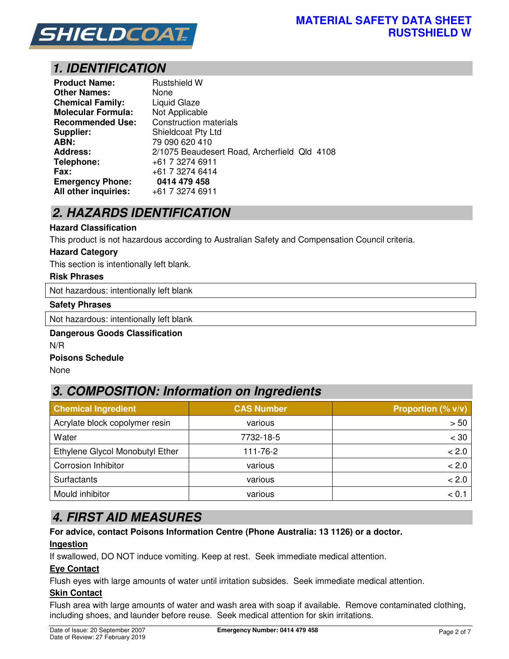

## *1. IDENTIFICATION*

| <b>Product Name:</b>      | <b>Rustshield W</b>                          |
|---------------------------|----------------------------------------------|
| <b>Other Names:</b>       | None                                         |
| <b>Chemical Family:</b>   | <b>Liquid Glaze</b>                          |
| <b>Molecular Formula:</b> | Not Applicable                               |
| <b>Recommended Use:</b>   | <b>Construction materials</b>                |
| Supplier:                 | Shieldcoat Pty Ltd                           |
| ABN:                      | 79 090 620 410                               |
| <b>Address:</b>           | 2/1075 Beaudesert Road, Archerfield Qld 4108 |
| Telephone:                | +61 7 3274 6911                              |
| <b>Fax:</b>               | +61 7 3274 6414                              |
| <b>Emergency Phone:</b>   | 0414 479 458                                 |
| All other inquiries:      | +61 7 3274 6911                              |

## *2. HAZARDS IDENTIFICATION*

#### **Hazard Classification**

This product is not hazardous according to Australian Safety and Compensation Council criteria.

#### **Hazard Category**

This section is intentionally left blank.

#### **Risk Phrases**

Not hazardous: intentionally left blank

#### **Safety Phrases**

Not hazardous: intentionally left blank

# **Dangerous Goods Classification**

N/R

### **Poisons Schedule**

None

## *3. COMPOSITION: Information on Ingredients*

| <b>Chemical Ingredient</b>      | <b>CAS Number</b> | Proportion (% v/v) |
|---------------------------------|-------------------|--------------------|
| Acrylate block copolymer resin  | various           | > 50               |
| Water                           | 7732-18-5         | $< 30$             |
| Ethylene Glycol Monobutyl Ether | 111-76-2          | < 2.0              |
| <b>Corrosion Inhibitor</b>      | various           | < 2.0              |
| Surfactants                     | various           | < 2.0              |
| Mould inhibitor                 | various           | < 0.1              |

## *4. FIRST AID MEASURES*

#### **For advice, contact Poisons Information Centre (Phone Australia: 13 1126) or a doctor.**

#### **Ingestion**

If swallowed, DO NOT induce vomiting. Keep at rest. Seek immediate medical attention.

#### **Eye Contact**

Flush eyes with large amounts of water until irritation subsides. Seek immediate medical attention.

### **Skin Contact**

Flush area with large amounts of water and wash area with soap if available. Remove contaminated clothing, including shoes, and launder before reuse. Seek medical attention for skin irritations.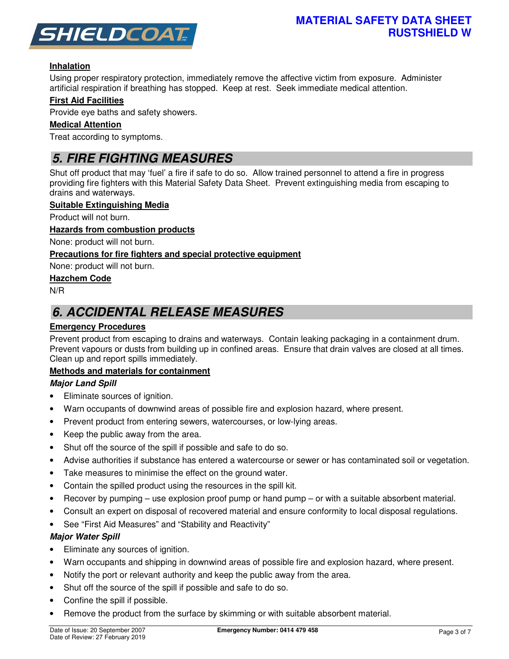

### **Inhalation**

Using proper respiratory protection, immediately remove the affective victim from exposure. Administer artificial respiration if breathing has stopped. Keep at rest. Seek immediate medical attention.

### **First Aid Facilities**

Provide eye baths and safety showers.

#### **Medical Attention**

Treat according to symptoms.

## *5. FIRE FIGHTING MEASURES*

Shut off product that may 'fuel' a fire if safe to do so. Allow trained personnel to attend a fire in progress providing fire fighters with this Material Safety Data Sheet. Prevent extinguishing media from escaping to drains and waterways.

#### **Suitable Extinguishing Media**

Product will not burn.

#### **Hazards from combustion products**

None: product will not burn.

### **Precautions for fire fighters and special protective equipment**

None: product will not burn.

### **Hazchem Code**

N/R

## *6. ACCIDENTAL RELEASE MEASURES*

### **Emergency Procedures**

Prevent product from escaping to drains and waterways. Contain leaking packaging in a containment drum. Prevent vapours or dusts from building up in confined areas. Ensure that drain valves are closed at all times. Clean up and report spills immediately.

#### **Methods and materials for containment**

#### *Major Land Spill*

- Eliminate sources of ignition.
- Warn occupants of downwind areas of possible fire and explosion hazard, where present.
- Prevent product from entering sewers, watercourses, or low-lying areas.
- Keep the public away from the area.
- Shut off the source of the spill if possible and safe to do so.
- Advise authorities if substance has entered a watercourse or sewer or has contaminated soil or vegetation.
- Take measures to minimise the effect on the ground water.
- Contain the spilled product using the resources in the spill kit.
- Recover by pumping use explosion proof pump or hand pump or with a suitable absorbent material.
- Consult an expert on disposal of recovered material and ensure conformity to local disposal regulations.
- See "First Aid Measures" and "Stability and Reactivity"

#### *Major Water Spill*

- Eliminate any sources of ignition.
- Warn occupants and shipping in downwind areas of possible fire and explosion hazard, where present.
- Notify the port or relevant authority and keep the public away from the area.
- Shut off the source of the spill if possible and safe to do so.
- Confine the spill if possible.
- Remove the product from the surface by skimming or with suitable absorbent material.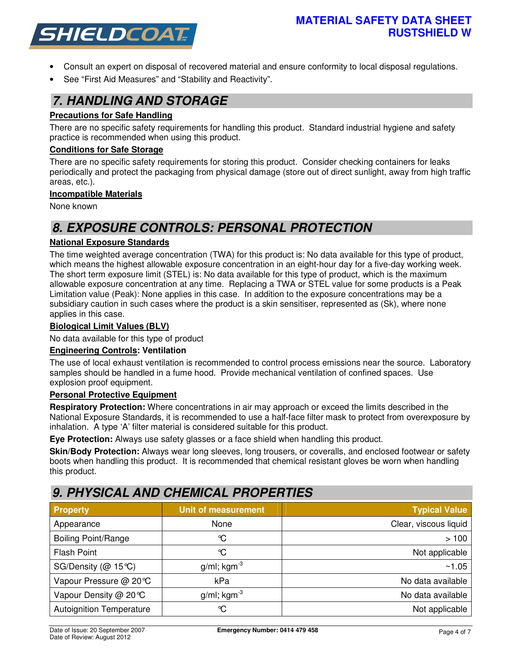

- Consult an expert on disposal of recovered material and ensure conformity to local disposal regulations.
- See "First Aid Measures" and "Stability and Reactivity".

## *7. HANDLING AND STORAGE*

### **Precautions for Safe Handling**

There are no specific safety requirements for handling this product. Standard industrial hygiene and safety practice is recommended when using this product.

#### **Conditions for Safe Storage**

There are no specific safety requirements for storing this product. Consider checking containers for leaks periodically and protect the packaging from physical damage (store out of direct sunlight, away from high traffic areas, etc.).

### **Incompatible Materials**

None known

## *8. EXPOSURE CONTROLS: PERSONAL PROTECTION*

### **National Exposure Standards**

The time weighted average concentration (TWA) for this product is: No data available for this type of product, which means the highest allowable exposure concentration in an eight-hour day for a five-day working week. The short term exposure limit (STEL) is: No data available for this type of product, which is the maximum allowable exposure concentration at any time. Replacing a TWA or STEL value for some products is a Peak Limitation value (Peak): None applies in this case. In addition to the exposure concentrations may be a subsidiary caution in such cases where the product is a skin sensitiser, represented as (Sk), where none applies in this case.

#### **Biological Limit Values (BLV)**

No data available for this type of product

#### **Engineering Controls: Ventilation**

The use of local exhaust ventilation is recommended to control process emissions near the source. Laboratory samples should be handled in a fume hood. Provide mechanical ventilation of confined spaces. Use explosion proof equipment.

#### **Personal Protective Equipment**

**Respiratory Protection:** Where concentrations in air may approach or exceed the limits described in the National Exposure Standards, it is recommended to use a half-face filter mask to protect from overexposure by inhalation. A type 'A' filter material is considered suitable for this product.

**Eye Protection:** Always use safety glasses or a face shield when handling this product.

**Skin/Body Protection:** Always wear long sleeves, long trousers, or coveralls, and enclosed footwear or safety boots when handling this product. It is recommended that chemical resistant gloves be worn when handling this product.

## *9. PHYSICAL AND CHEMICAL PROPERTIES*

| <b>Property</b>                 | <b>Unit of measurement</b> | <b>Typical Value</b>  |
|---------------------------------|----------------------------|-----------------------|
| Appearance                      | None                       | Clear, viscous liquid |
| <b>Boiling Point/Range</b>      | ℃                          | >100                  |
| <b>Flash Point</b>              | ℃                          | Not applicable        |
| SG/Density ( $@$ 15°C)          | $g/ml$ ; kgm <sup>-3</sup> | ~1.05                 |
| Vapour Pressure @ 20℃           | kPa                        | No data available     |
| Vapour Density @ 20℃            | $g/ml$ ; kgm <sup>-3</sup> | No data available     |
| <b>Autoignition Temperature</b> | $\mathrm{C}$               | Not applicable        |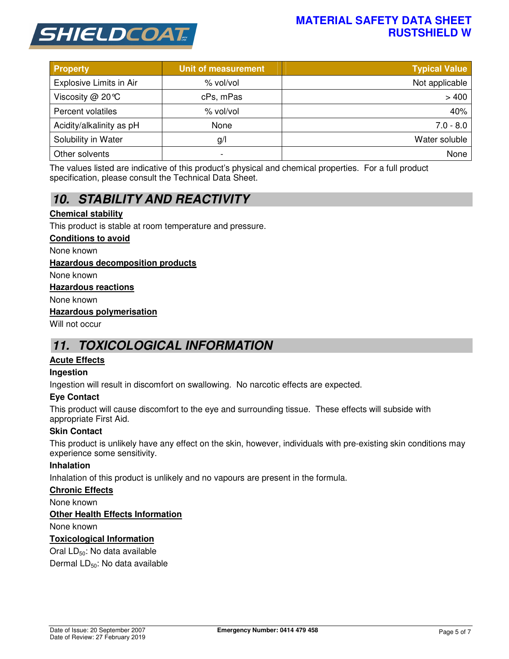

### **MATERIAL SAFETY DATA SHEET RUSTSHIELD W**

| <b>Property</b>                | Unit of measurement | <b>Typical Value</b> |
|--------------------------------|---------------------|----------------------|
| <b>Explosive Limits in Air</b> | % vol/vol           | Not applicable       |
| Viscosity $@$ 20 °C            | cPs, mPas           | >400                 |
| Percent volatiles              | % vol/vol           | 40%                  |
| Acidity/alkalinity as pH       | None                | $7.0 - 8.0$          |
| Solubility in Water            | g/                  | Water soluble        |
| Other solvents                 | -                   | None                 |

The values listed are indicative of this product's physical and chemical properties. For a full product specification, please consult the Technical Data Sheet.

# *10. STABILITY AND REACTIVITY*

### **Chemical stability**

This product is stable at room temperature and pressure.

#### **Conditions to avoid**

None known

#### **Hazardous decomposition products**

None known

#### **Hazardous reactions**

None known

#### **Hazardous polymerisation**

Will not occur

## *11. TOXICOLOGICAL INFORMATION*

#### **Acute Effects**

#### **Ingestion**

Ingestion will result in discomfort on swallowing. No narcotic effects are expected.

#### **Eye Contact**

This product will cause discomfort to the eye and surrounding tissue. These effects will subside with appropriate First Aid.

#### **Skin Contact**

This product is unlikely have any effect on the skin, however, individuals with pre-existing skin conditions may experience some sensitivity.

#### **Inhalation**

Inhalation of this product is unlikely and no vapours are present in the formula.

#### **Chronic Effects**

None known

#### **Other Health Effects Information**

None known

#### **Toxicological Information**

Oral LD<sub>50</sub>: No data available

Dermal LD<sub>50</sub>: No data available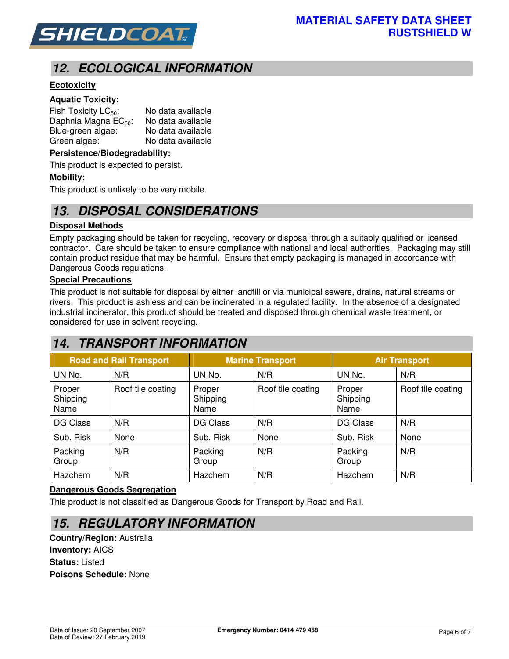

# *12. ECOLOGICAL INFORMATION*

### **Ecotoxicity**

#### **Aquatic Toxicity:**

| Fish Toxicity $LC_{50}$ :        | No data available |
|----------------------------------|-------------------|
| Daphnia Magna EC <sub>50</sub> : | No data available |
| Blue-green algae:                | No data available |
| Green algae:                     | No data available |

#### **Persistence/Biodegradability:**

This product is expected to persist.

#### **Mobility:**

This product is unlikely to be very mobile.

### *13. DISPOSAL CONSIDERATIONS*

#### **Disposal Methods**

Empty packaging should be taken for recycling, recovery or disposal through a suitably qualified or licensed contractor. Care should be taken to ensure compliance with national and local authorities. Packaging may still contain product residue that may be harmful. Ensure that empty packaging is managed in accordance with Dangerous Goods regulations.

#### **Special Precautions**

This product is not suitable for disposal by either landfill or via municipal sewers, drains, natural streams or rivers. This product is ashless and can be incinerated in a regulated facility. In the absence of a designated industrial incinerator, this product should be treated and disposed through chemical waste treatment, or considered for use in solvent recycling.

## *14. TRANSPORT INFORMATION*

| <b>Road and Rail Transport</b> |                   | <b>Marine Transport</b>    |                   | <b>Air Transport</b>       |                   |
|--------------------------------|-------------------|----------------------------|-------------------|----------------------------|-------------------|
| UN No.                         | N/R               | UN No.                     | N/R               | UN No.                     | N/R               |
| Proper<br>Shipping<br>Name     | Roof tile coating | Proper<br>Shipping<br>Name | Roof tile coating | Proper<br>Shipping<br>Name | Roof tile coating |
| DG Class                       | N/R               | DG Class                   | N/R               | DG Class                   | N/R               |
| Sub. Risk                      | None              | Sub. Risk                  | None              | Sub. Risk                  | None              |
| Packing<br>Group               | N/R               | Packing<br>Group           | N/R               | Packing<br>Group           | N/R               |
| Hazchem                        | N/R               | Hazchem                    | N/R               | Hazchem                    | N/R               |

#### **Dangerous Goods Segregation**

This product is not classified as Dangerous Goods for Transport by Road and Rail.

### *15. REGULATORY INFORMATION*

**Country/Region:** Australia **Inventory:** AICS **Status:** Listed **Poisons Schedule:** None